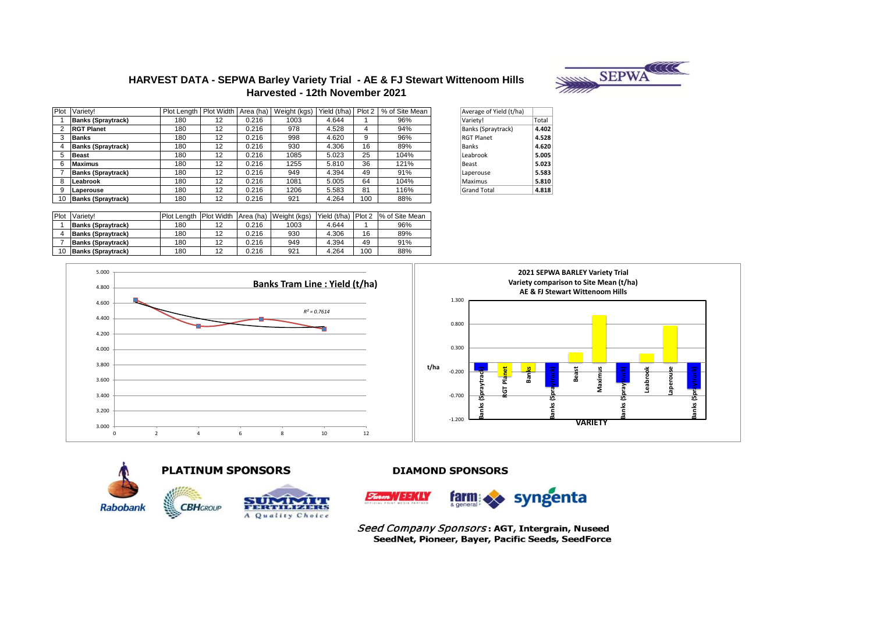

# **HARVEST DATA - SEPWA Barley Variety Trial - AE & FJ Stewart Wittenoom Hills Harvested - 12th November 2021**

|    | Plot Variety!             | Plot Length   Plot Width |    | Area (ha) | Weight (kgs) | Yield (t/ha) | Plot 2 | % of Site Mean | Average of Yield (t/ha) |       |
|----|---------------------------|--------------------------|----|-----------|--------------|--------------|--------|----------------|-------------------------|-------|
|    | <b>Banks (Spraytrack)</b> | 180                      | 12 | 0.216     | 1003         | 4.644        |        | 96%            | Variety!                | Total |
|    | <b>RGT Planet</b>         | 180                      | 12 | 0.216     | 978          | 4.528        | 4      | 94%            | Banks (Spraytrack)      | 4.402 |
|    | <b>Banks</b>              | 180                      | 12 | 0.216     | 998          | 4.620        | 9      | 96%            | <b>RGT Planet</b>       | 4.528 |
|    | <b>Banks (Spraytrack)</b> | 180                      | 12 | 0.216     | 930          | 4.306        | 16     | 89%            | Banks                   | 4.620 |
|    | <b>Beast</b>              | 180                      | 12 | 0.216     | 1085         | 5.023        | 25     | 104%           | Leabrook                | 5.005 |
|    | <b>Maximus</b>            | 180                      | 12 | 0.216     | 1255         | 5.810        | 36     | 121%           | Beast                   | 5.023 |
|    | <b>Banks (Spraytrack)</b> | 180                      | 12 | 0.216     | 949          | 4.394        | 49     | 91%            | Laperouse               | 5.583 |
|    | Leabrook                  | 180                      | 12 | 0.216     | 1081         | 5.005        | 64     | 104%           | Maximus                 | 5.810 |
|    | Laperouse                 | 180                      | 12 | 0.216     | 1206         | 5.583        | 81     | 116%           | <b>Grand Total</b>      | 4.818 |
| 10 | <b>Banks (Spraytrack)</b> | 180                      | 12 | 0.216     | 921          | 4.264        | 100    | 88%            |                         |       |

| Average of Yield (t/ha) |       |
|-------------------------|-------|
| Variety!                | Total |
| Banks (Spraytrack)      | 4.402 |
| <b>RGT Planet</b>       | 4.528 |
| <b>Banks</b>            | 4.620 |
| Leabrook                | 5.005 |
| Beast                   | 5.023 |
| Laperouse               | 5.583 |
| Maximus                 | 5.810 |
| <b>Grand Total</b>      | 4.818 |
|                         |       |

| Plot | Variety!                  | Plot Lenath | Plot Width Area (ha) |       | Weight (kgs) | Yield (t/ha) | <b>Plot 2</b> | % of Site Mean |
|------|---------------------------|-------------|----------------------|-------|--------------|--------------|---------------|----------------|
|      | <b>Banks (Spraytrack)</b> | 180         | 12                   | 0.216 | 1003         | 4.644        |               | 96%            |
|      | <b>Banks (Spraytrack)</b> | 180         | 12                   | 0.216 | 930          | 4.306        | 16            | 89%            |
|      | <b>Banks (Spraytrack)</b> | 180         | 12                   | 0.216 | 949          | 4.394        | 49            | 91%            |
|      | <b>Banks (Spraytrack)</b> | 180         | 12                   | 0.216 | 921          | 4.264        | 100           | 88%            |









Seed Company Sponsors: AGT, Intergrain, Nuseed SeedNet, Pioneer, Bayer, Pacific Seeds, SeedForce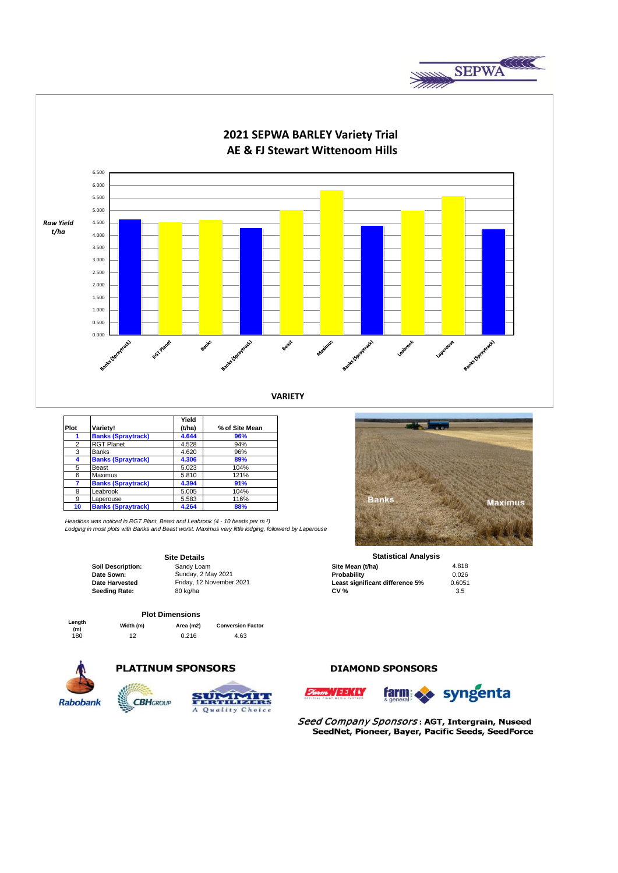



|                |                           | Yield  |                |
|----------------|---------------------------|--------|----------------|
| Plot           | Variety!                  | (t/ha) | % of Site Mean |
|                | <b>Banks (Spraytrack)</b> | 4.644  | 96%            |
| $\overline{2}$ | <b>RGT Planet</b>         | 4.528  | 94%            |
| 3              | <b>Banks</b>              | 4.620  | 96%            |
| 4              | <b>Banks (Spraytrack)</b> | 4.306  | 89%            |
| 5              | Beast                     | 5.023  | 104%           |
| 6              | Maximus                   | 5.810  | 121%           |
| 7              | <b>Banks (Spraytrack)</b> | 4.394  | 91%            |
| 8              | Leabrook                  | 5.005  | 104%           |
| 9              | Laperouse                 | 5.583  | 116%           |
| 10             | <b>Banks (Spraytrack)</b> | 4.264  | 88%            |
|                |                           |        |                |

*Headloss was noticed in RGT Plant, Beast and Leabrook (4 - 10 heads per m ²) Lodging in most plots with Banks and Beast worst. Maximus very little lodging, followerd by Laperouse*

Friday, 12 November 2021

#### **Site Details**

**Date Harvested** Friday, 12 November 2021 **Least significant difference 5%** 0.6051<br>**Seeding Rate:** 80 kg/ha **0.6051 CV % CV %** 3.5 **Seeding Rate:** 80 kg/ha **CV % CV %** 3.5

# **Plot Dimensions**

| Lenath<br>(m) | Width (m) | Area (m2) | <b>Conversion Factor</b> |
|---------------|-----------|-----------|--------------------------|
| 180           | 12        | 0.216     | 4.63                     |

**CBH**GROUP



# **PLATINUM SPONSORS**



## **DIAMOND SPONSORS**





Seed Company Sponsors: AGT, Intergrain, Nuseed SeedNet, Pioneer, Bayer, Pacific Seeds, SeedForce



**Soil Description:** Sandy Loam **Site Mean (t/ha)** 4.818<br> **Date Sown:** Sunday, 2 May 2021 **Since 2018 Probability Probability** 10.026 **Date Sown:** Sunday, 2 May 2021 **Probability Probability Probability** 2026 **Statistical Analysis**